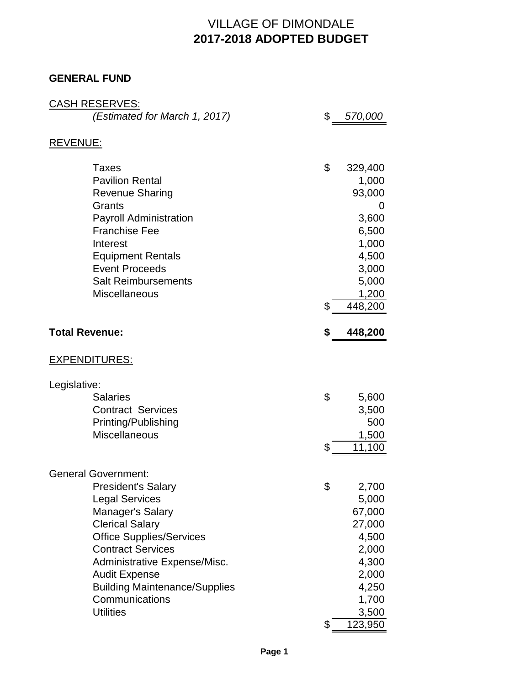# VILLAGE OF DIMONDALE **2017-2018 ADOPTED BUDGET**

### **GENERAL FUND**

| <b>CASH RESERVES:</b>                            |                 |
|--------------------------------------------------|-----------------|
| (Estimated for March 1, 2017)                    | \$<br>570,000   |
|                                                  |                 |
| <b>REVENUE:</b>                                  |                 |
| <b>Taxes</b>                                     | \$<br>329,400   |
| <b>Pavilion Rental</b>                           | 1,000           |
| <b>Revenue Sharing</b>                           | 93,000          |
| Grants                                           | 0               |
| <b>Payroll Administration</b>                    | 3,600           |
| <b>Franchise Fee</b>                             | 6,500           |
| Interest                                         | 1,000           |
| <b>Equipment Rentals</b>                         | 4,500           |
| <b>Event Proceeds</b>                            | 3,000           |
| <b>Salt Reimbursements</b>                       | 5,000           |
| <b>Miscellaneous</b>                             | 1,200           |
|                                                  | \$<br>448,200   |
| <b>Total Revenue:</b>                            | \$<br>448,200   |
|                                                  |                 |
| <b>EXPENDITURES:</b>                             |                 |
| Legislative:                                     |                 |
| <b>Salaries</b>                                  | \$<br>5,600     |
| <b>Contract Services</b>                         | 3,500           |
| Printing/Publishing                              | 500             |
| <b>Miscellaneous</b>                             | 1,500           |
|                                                  | \$<br>11,100    |
|                                                  |                 |
| <b>General Government:</b>                       |                 |
| <b>President's Salary</b>                        | \$<br>2,700     |
| <b>Legal Services</b><br><b>Manager's Salary</b> | 5,000<br>67,000 |
| <b>Clerical Salary</b>                           | 27,000          |
| <b>Office Supplies/Services</b>                  | 4,500           |
| <b>Contract Services</b>                         | 2,000           |
| Administrative Expense/Misc.                     | 4,300           |
| <b>Audit Expense</b>                             | 2,000           |
| <b>Building Maintenance/Supplies</b>             | 4,250           |
| Communications                                   | 1,700           |
| <b>Utilities</b>                                 | 3,500           |
|                                                  | \$<br>123,950   |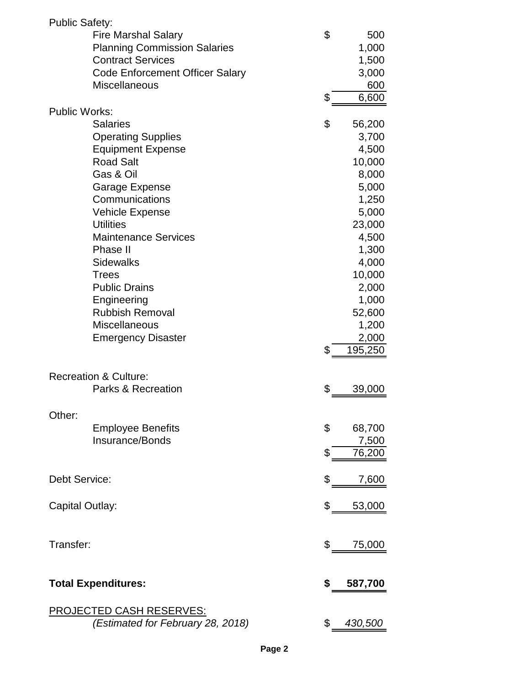| <b>Public Safety:</b> |                                        |               |
|-----------------------|----------------------------------------|---------------|
|                       | <b>Fire Marshal Salary</b>             | \$<br>500     |
|                       | <b>Planning Commission Salaries</b>    | 1,000         |
|                       | <b>Contract Services</b>               | 1,500         |
|                       | <b>Code Enforcement Officer Salary</b> | 3,000         |
|                       | <b>Miscellaneous</b>                   | 600           |
|                       |                                        | \$<br>6,600   |
| <b>Public Works:</b>  |                                        |               |
|                       | <b>Salaries</b>                        | \$<br>56,200  |
|                       | <b>Operating Supplies</b>              | 3,700         |
|                       | <b>Equipment Expense</b>               | 4,500         |
|                       | <b>Road Salt</b>                       | 10,000        |
|                       | Gas & Oil                              | 8,000         |
|                       |                                        | 5,000         |
|                       | Garage Expense<br>Communications       |               |
|                       |                                        | 1,250         |
|                       | <b>Vehicle Expense</b>                 | 5,000         |
|                       | <b>Utilities</b>                       | 23,000        |
|                       | <b>Maintenance Services</b>            | 4,500         |
|                       | Phase II                               | 1,300         |
|                       | <b>Sidewalks</b>                       | 4,000         |
|                       | <b>Trees</b>                           | 10,000        |
|                       | <b>Public Drains</b>                   | 2,000         |
|                       | Engineering                            | 1,000         |
|                       | <b>Rubbish Removal</b>                 | 52,600        |
|                       | <b>Miscellaneous</b>                   | 1,200         |
|                       | <b>Emergency Disaster</b>              | 2,000         |
|                       |                                        | \$<br>195,250 |
|                       |                                        |               |
|                       | <b>Recreation &amp; Culture:</b>       |               |
|                       | <b>Parks &amp; Recreation</b>          | \$<br>39,000  |
|                       |                                        |               |
| Other:                |                                        |               |
|                       | <b>Employee Benefits</b>               | \$<br>68,700  |
|                       | Insurance/Bonds                        | 7,500         |
|                       |                                        | \$<br>76,200  |
|                       |                                        |               |
| <b>Debt Service:</b>  |                                        | \$<br>7,600   |
|                       |                                        |               |
| Capital Outlay:       |                                        | \$<br>53,000  |
|                       |                                        |               |
|                       |                                        |               |
| Transfer:             |                                        | \$<br>75,000  |
|                       |                                        |               |
|                       | <b>Total Expenditures:</b>             | \$            |
|                       |                                        | 587,700       |
|                       | <b>PROJECTED CASH RESERVES:</b>        |               |
|                       | (Estimated for February 28, 2018)      | \$<br>430,500 |
|                       |                                        |               |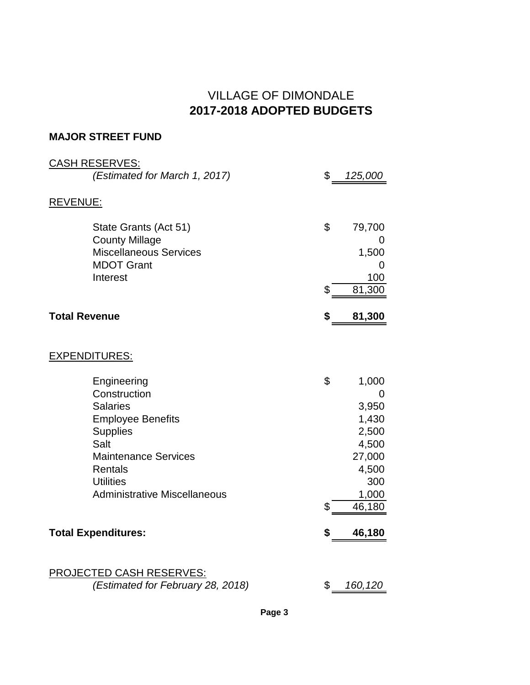### VILLAGE OF DIMONDALE **2017-2018 ADOPTED BUDGETS**

#### **MAJOR STREET FUND**

| <b>CASH RESERVES:</b>                                  |                |
|--------------------------------------------------------|----------------|
| (Estimated for March 1, 2017)                          | \$<br>125,000  |
| <b>REVENUE:</b>                                        |                |
|                                                        |                |
| State Grants (Act 51)                                  | \$<br>79,700   |
| <b>County Millage</b><br><b>Miscellaneous Services</b> | 0<br>1,500     |
| <b>MDOT Grant</b>                                      | 0              |
| Interest                                               | 100            |
|                                                        | \$<br>81,300   |
| <b>Total Revenue</b>                                   | \$<br>81,300   |
|                                                        |                |
| <b>EXPENDITURES:</b>                                   |                |
| Engineering                                            | \$<br>1,000    |
| Construction                                           | 0              |
| <b>Salaries</b>                                        | 3,950          |
| <b>Employee Benefits</b>                               | 1,430          |
| <b>Supplies</b><br>Salt                                | 2,500<br>4,500 |
| <b>Maintenance Services</b>                            | 27,000         |
| <b>Rentals</b>                                         | 4,500          |
| <b>Utilities</b>                                       | 300            |
| <b>Administrative Miscellaneous</b>                    | 1,000          |
|                                                        | \$<br>46,180   |
| <b>Total Expenditures:</b>                             | \$<br>46,180   |
|                                                        |                |
| <b>PROJECTED CASH RESERVES:</b>                        |                |
| (Estimated for February 28, 2018)                      | \$<br>160,120  |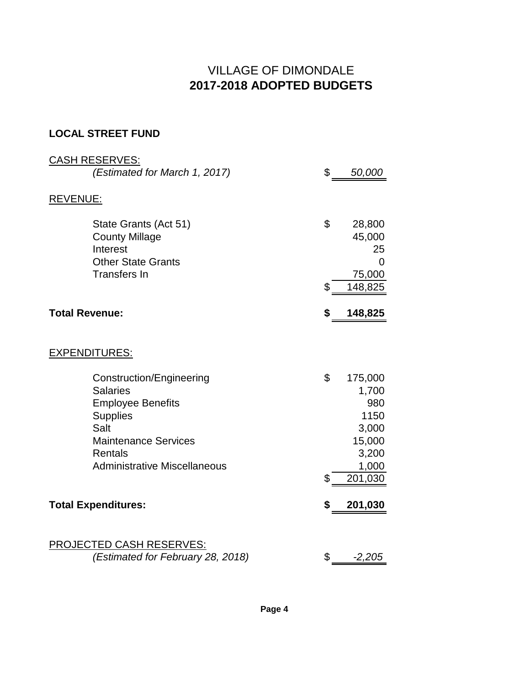# VILLAGE OF DIMONDALE **2017-2018 ADOPTED BUDGETS**

### **LOCAL STREET FUND**

| <b>CASH RESERVES:</b>                                                                                                                                                                                              |          |                                                                                 |
|--------------------------------------------------------------------------------------------------------------------------------------------------------------------------------------------------------------------|----------|---------------------------------------------------------------------------------|
| (Estimated for March 1, 2017)                                                                                                                                                                                      | \$       | 50,000                                                                          |
| <u>REVENUE:</u>                                                                                                                                                                                                    |          |                                                                                 |
| State Grants (Act 51)<br><b>County Millage</b><br>Interest<br><b>Other State Grants</b><br><b>Transfers In</b>                                                                                                     | \$<br>\$ | 28,800<br>45,000<br>25<br>$\Omega$<br>75,000<br>148,825                         |
| <b>Total Revenue:</b>                                                                                                                                                                                              | \$       | 148,825                                                                         |
| <b>EXPENDITURES:</b><br>Construction/Engineering<br><b>Salaries</b><br><b>Employee Benefits</b><br><b>Supplies</b><br>Salt<br><b>Maintenance Services</b><br><b>Rentals</b><br><b>Administrative Miscellaneous</b> | \$<br>\$ | 175,000<br>1,700<br>980<br>1150<br>3,000<br>15,000<br>3,200<br>1,000<br>201,030 |
| <b>Total Expenditures:</b>                                                                                                                                                                                         | \$       | 201,030                                                                         |
| <b>PROJECTED CASH RESERVES:</b><br>(Estimated for February 28, 2018)                                                                                                                                               | \$       | $-2,205$                                                                        |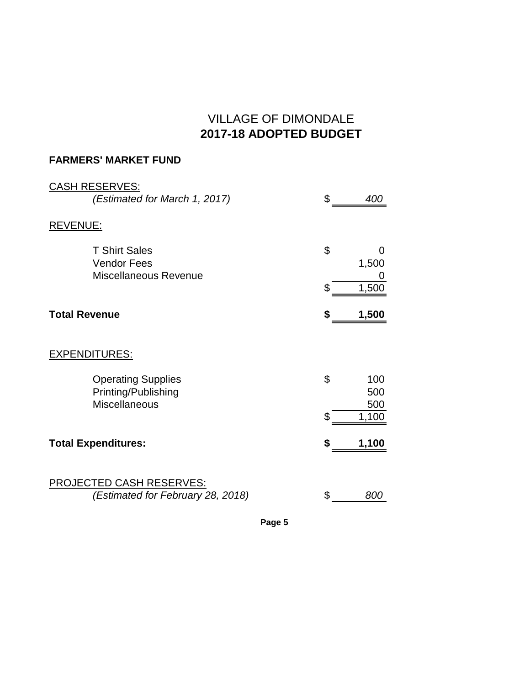# VILLAGE OF DIMONDALE **2017-18 ADOPTED BUDGET**

### **FARMERS' MARKET FUND**

| <b>CASH RESERVES:</b><br>(Estimated for March 1, 2017)                   | \$<br>400               |
|--------------------------------------------------------------------------|-------------------------|
| REVENUE:                                                                 |                         |
| <b>T Shirt Sales</b><br><b>Vendor Fees</b><br>Miscellaneous Revenue      | \$<br>0<br>1,500        |
|                                                                          | \$<br>1,500             |
| <b>Total Revenue</b>                                                     | 1,500                   |
| <u>EXPENDITURES:</u>                                                     |                         |
| <b>Operating Supplies</b><br>Printing/Publishing<br><b>Miscellaneous</b> | \$<br>100<br>500<br>500 |
|                                                                          | \$<br>1,100             |
| <b>Total Expenditures:</b>                                               | \$<br>1,100             |
| <b>PROJECTED CASH RESERVES:</b><br>(Estimated for February 28, 2018)     | \$<br>800               |

**Page 5**